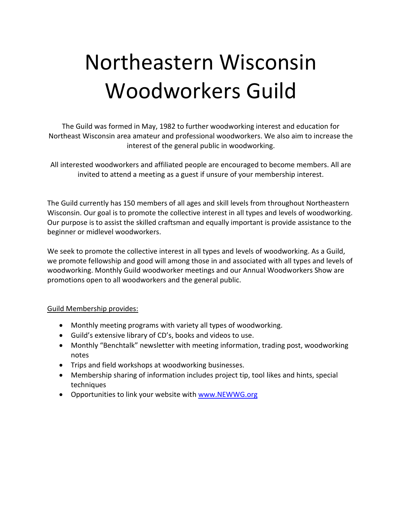# Northeastern Wisconsin Woodworkers Guild

The Guild was formed in May, 1982 to further woodworking interest and education for Northeast Wisconsin area amateur and professional woodworkers. We also aim to increase the interest of the general public in woodworking.

All interested woodworkers and affiliated people are encouraged to become members. All are invited to attend a meeting as a guest if unsure of your membership interest.

The Guild currently has 150 members of all ages and skill levels from throughout Northeastern Wisconsin. Our goal is to promote the collective interest in all types and levels of woodworking. Our purpose is to assist the skilled craftsman and equally important is provide assistance to the beginner or midlevel woodworkers.

We seek to promote the collective interest in all types and levels of woodworking. As a Guild, we promote fellowship and good will among those in and associated with all types and levels of woodworking. Monthly Guild woodworker meetings and our Annual Woodworkers Show are promotions open to all woodworkers and the general public.

## Guild Membership provides:

- Monthly meeting programs with variety all types of woodworking.
- Guild's extensive library of CD's, books and videos to use.
- Monthly "Benchtalk" newsletter with meeting information, trading post, woodworking notes
- Trips and field workshops at woodworking businesses.
- Membership sharing of information includes project tip, tool likes and hints, special techniques
- Opportunities to link your website with [www.NEWWG.org](http://www.newwg.org/)